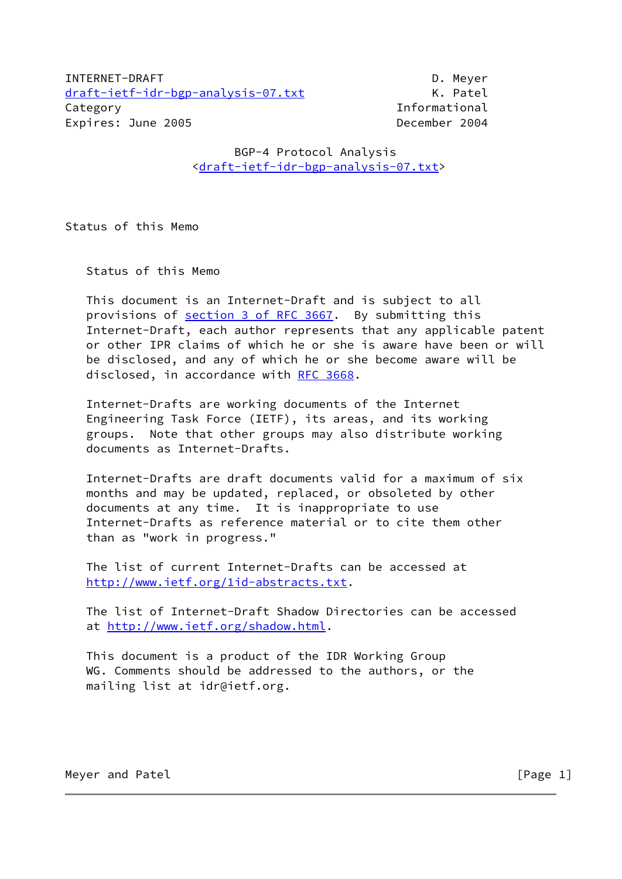INTERNET-DRAFT DESCRIPTION OF A MEYER OF A MEYER OF A MEYER OF A MEYER OF A MEYER OF A MEYER OF A MEYER OF A M [draft-ietf-idr-bgp-analysis-07.txt](https://datatracker.ietf.org/doc/pdf/draft-ietf-idr-bgp-analysis-07.txt) K. Patel Category **Informational** Expires: June 2005 **December 2004** 

 BGP-4 Protocol Analysis [<draft-ietf-idr-bgp-analysis-07.txt](https://datatracker.ietf.org/doc/pdf/draft-ietf-idr-bgp-analysis-07.txt)>

Status of this Memo

Status of this Memo

 This document is an Internet-Draft and is subject to all provisions of section [3 of RFC 3667.](https://datatracker.ietf.org/doc/pdf/rfc3667#section-3) By submitting this Internet-Draft, each author represents that any applicable patent or other IPR claims of which he or she is aware have been or will be disclosed, and any of which he or she become aware will be disclosed, in accordance with [RFC 3668](https://datatracker.ietf.org/doc/pdf/rfc3668).

 Internet-Drafts are working documents of the Internet Engineering Task Force (IETF), its areas, and its working groups. Note that other groups may also distribute working documents as Internet-Drafts.

 Internet-Drafts are draft documents valid for a maximum of six months and may be updated, replaced, or obsoleted by other documents at any time. It is inappropriate to use Internet-Drafts as reference material or to cite them other than as "work in progress."

 The list of current Internet-Drafts can be accessed at <http://www.ietf.org/1id-abstracts.txt>.

 The list of Internet-Draft Shadow Directories can be accessed at <http://www.ietf.org/shadow.html>.

 This document is a product of the IDR Working Group WG. Comments should be addressed to the authors, or the mailing list at idr@ietf.org.

Meyer and Patel **Exercise 2018** [Page 1]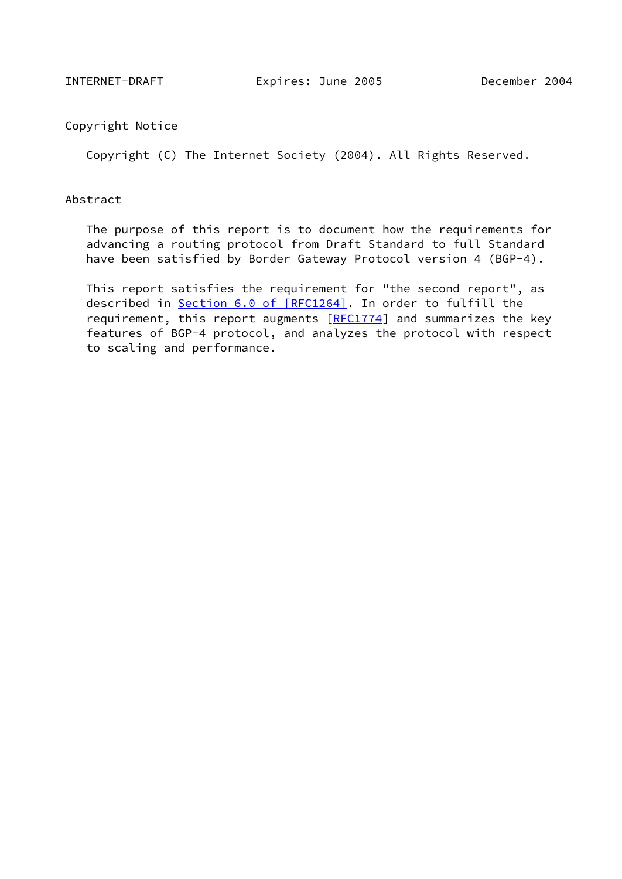Copyright Notice

Copyright (C) The Internet Society (2004). All Rights Reserved.

### Abstract

 The purpose of this report is to document how the requirements for advancing a routing protocol from Draft Standard to full Standard have been satisfied by Border Gateway Protocol version 4 (BGP-4).

 This report satisfies the requirement for "the second report", as described in Section [6.0 of \[RFC1264\]](https://datatracker.ietf.org/doc/pdf/rfc1264#section-6.0). In order to fulfill the requirement, this report augments  $[RECI774]$  and summarizes the key features of BGP-4 protocol, and analyzes the protocol with respect to scaling and performance.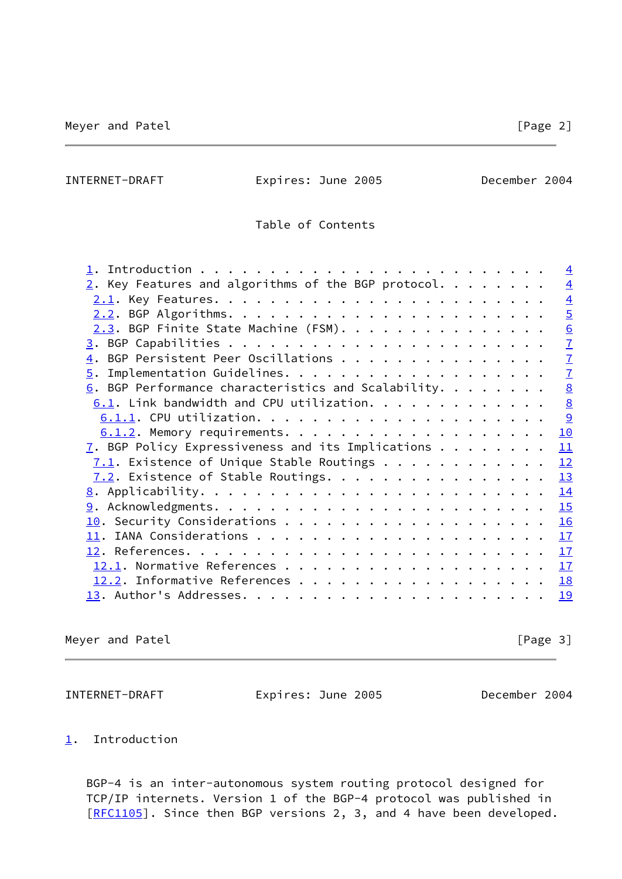INTERNET-DRAFT Expires: June 2005 December 2004

Table of Contents

|                                                                 | $\overline{4}$ |
|-----------------------------------------------------------------|----------------|
| $2.$ Key Features and algorithms of the BGP protocol.           | $\overline{4}$ |
|                                                                 | $\overline{4}$ |
|                                                                 | $\overline{5}$ |
| 2.3. BGP Finite State Machine (FSM).                            | 6              |
|                                                                 | $\overline{1}$ |
| 4. BGP Persistent Peer Oscillations                             | $\overline{1}$ |
|                                                                 | $\overline{1}$ |
| $6.$ BGP Performance characteristics and Scalability.           | 8              |
| $6.1.$ Link bandwidth and CPU utilization.                      | 8              |
|                                                                 | $\overline{9}$ |
|                                                                 | 10             |
| $\overline{1}$ . BGP Policy Expressiveness and its Implications | 11             |
| $7.1$ . Existence of Unique Stable Routings                     | 12             |
| $7.2$ . Existence of Stable Routings.                           | 13             |
|                                                                 | 14             |
|                                                                 | 15             |
|                                                                 | 16             |
|                                                                 | 17             |
|                                                                 | 17             |
|                                                                 | 17             |
|                                                                 | 18             |
|                                                                 | 19             |
|                                                                 |                |

Meyer and Patel **Exercise 2018** [Page 3]

<span id="page-2-1"></span>INTERNET-DRAFT Expires: June 2005 December 2004

# <span id="page-2-0"></span>[1](#page-2-0). Introduction

 BGP-4 is an inter-autonomous system routing protocol designed for TCP/IP internets. Version 1 of the BGP-4 protocol was published in [\[RFC1105](https://datatracker.ietf.org/doc/pdf/rfc1105)]. Since then BGP versions 2, 3, and 4 have been developed.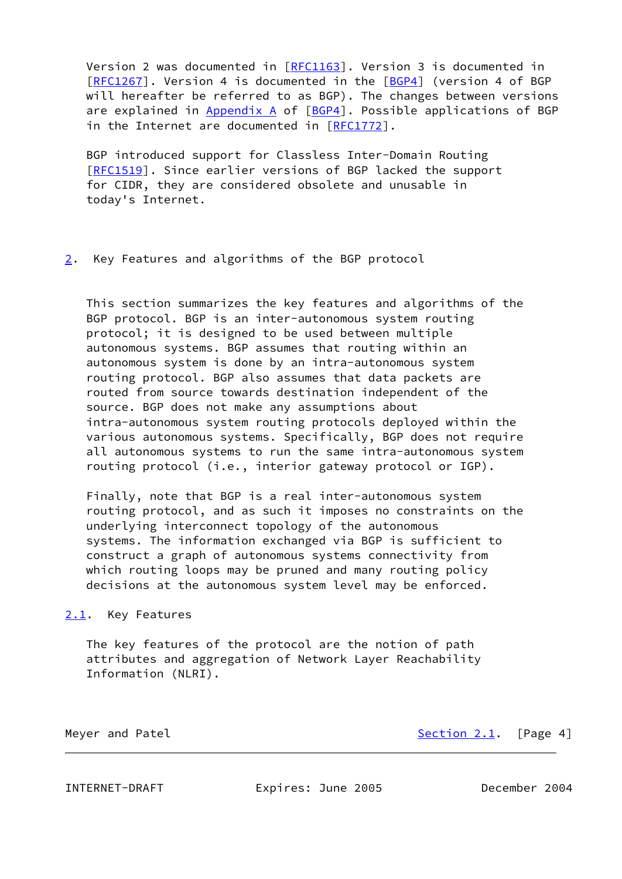Version 2 was documented in [\[RFC1163](https://datatracker.ietf.org/doc/pdf/rfc1163)]. Version 3 is documented in [\[RFC1267](https://datatracker.ietf.org/doc/pdf/rfc1267)]. Version 4 is documented in the [[BGP4\]](#page-18-3) (version 4 of BGP will hereafter be referred to as BGP). The changes between versions are explained in Appendix A of [\[BGP4](#page-18-3)]. Possible applications of BGP in the Internet are documented in [[RFC1772](https://datatracker.ietf.org/doc/pdf/rfc1772)].

 BGP introduced support for Classless Inter-Domain Routing [\[RFC1519](https://datatracker.ietf.org/doc/pdf/rfc1519)]. Since earlier versions of BGP lacked the support for CIDR, they are considered obsolete and unusable in today's Internet.

## <span id="page-3-0"></span>[2](#page-3-0). Key Features and algorithms of the BGP protocol

 This section summarizes the key features and algorithms of the BGP protocol. BGP is an inter-autonomous system routing protocol; it is designed to be used between multiple autonomous systems. BGP assumes that routing within an autonomous system is done by an intra-autonomous system routing protocol. BGP also assumes that data packets are routed from source towards destination independent of the source. BGP does not make any assumptions about intra-autonomous system routing protocols deployed within the various autonomous systems. Specifically, BGP does not require all autonomous systems to run the same intra-autonomous system routing protocol (i.e., interior gateway protocol or IGP).

 Finally, note that BGP is a real inter-autonomous system routing protocol, and as such it imposes no constraints on the underlying interconnect topology of the autonomous systems. The information exchanged via BGP is sufficient to construct a graph of autonomous systems connectivity from which routing loops may be pruned and many routing policy decisions at the autonomous system level may be enforced.

<span id="page-3-1"></span>[2.1](#page-3-1). Key Features

 The key features of the protocol are the notion of path attributes and aggregation of Network Layer Reachability Information (NLRI).

Meyer and Patel **[Section 2.1](#page-3-1).** [Page 4]

<span id="page-3-2"></span>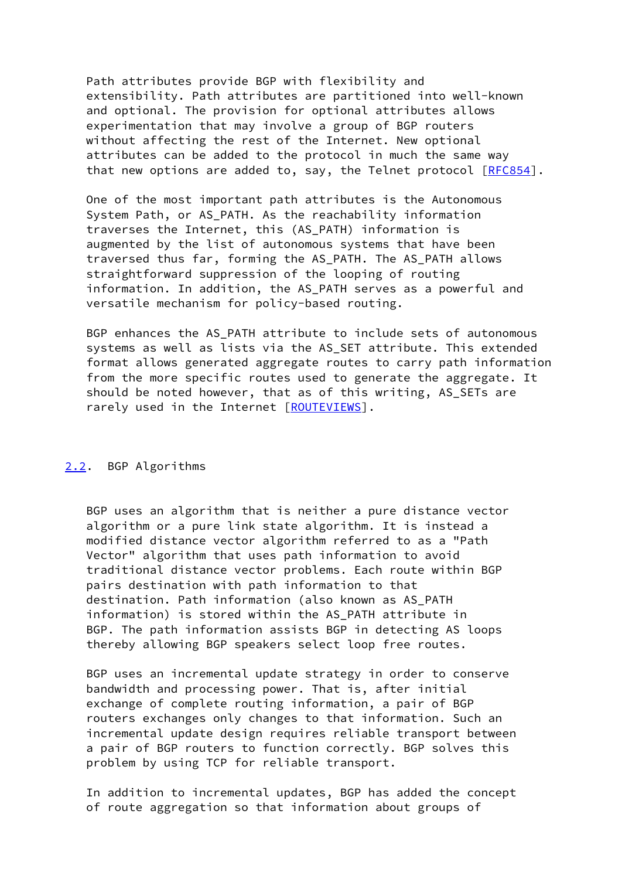Path attributes provide BGP with flexibility and extensibility. Path attributes are partitioned into well-known and optional. The provision for optional attributes allows experimentation that may involve a group of BGP routers without affecting the rest of the Internet. New optional attributes can be added to the protocol in much the same way that new options are added to, say, the Telnet protocol [\[RFC854](https://datatracker.ietf.org/doc/pdf/rfc854)].

 One of the most important path attributes is the Autonomous System Path, or AS\_PATH. As the reachability information traverses the Internet, this (AS\_PATH) information is augmented by the list of autonomous systems that have been traversed thus far, forming the AS\_PATH. The AS\_PATH allows straightforward suppression of the looping of routing information. In addition, the AS PATH serves as a powerful and versatile mechanism for policy-based routing.

BGP enhances the AS PATH attribute to include sets of autonomous systems as well as lists via the AS SET attribute. This extended format allows generated aggregate routes to carry path information from the more specific routes used to generate the aggregate. It should be noted however, that as of this writing, AS\_SETs are rarely used in the Internet [\[ROUTEVIEWS\]](#page-20-2).

## <span id="page-4-0"></span>[2.2](#page-4-0). BGP Algorithms

 BGP uses an algorithm that is neither a pure distance vector algorithm or a pure link state algorithm. It is instead a modified distance vector algorithm referred to as a "Path Vector" algorithm that uses path information to avoid traditional distance vector problems. Each route within BGP pairs destination with path information to that destination. Path information (also known as AS\_PATH information) is stored within the AS\_PATH attribute in BGP. The path information assists BGP in detecting AS loops thereby allowing BGP speakers select loop free routes.

 BGP uses an incremental update strategy in order to conserve bandwidth and processing power. That is, after initial exchange of complete routing information, a pair of BGP routers exchanges only changes to that information. Such an incremental update design requires reliable transport between a pair of BGP routers to function correctly. BGP solves this problem by using TCP for reliable transport.

 In addition to incremental updates, BGP has added the concept of route aggregation so that information about groups of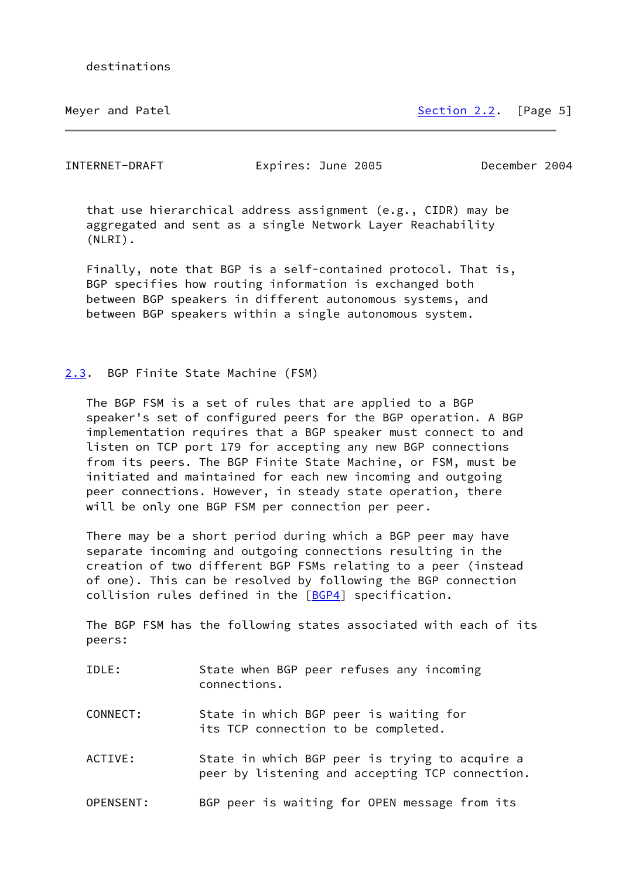Meyer and Patel [Section 2.2](#page-4-0). [Page 5]

<span id="page-5-1"></span>INTERNET-DRAFT Expires: June 2005 December 2004

 that use hierarchical address assignment (e.g., CIDR) may be aggregated and sent as a single Network Layer Reachability (NLRI).

 Finally, note that BGP is a self-contained protocol. That is, BGP specifies how routing information is exchanged both between BGP speakers in different autonomous systems, and between BGP speakers within a single autonomous system.

## <span id="page-5-0"></span>[2.3](#page-5-0). BGP Finite State Machine (FSM)

 The BGP FSM is a set of rules that are applied to a BGP speaker's set of configured peers for the BGP operation. A BGP implementation requires that a BGP speaker must connect to and listen on TCP port 179 for accepting any new BGP connections from its peers. The BGP Finite State Machine, or FSM, must be initiated and maintained for each new incoming and outgoing peer connections. However, in steady state operation, there will be only one BGP FSM per connection per peer.

 There may be a short period during which a BGP peer may have separate incoming and outgoing connections resulting in the creation of two different BGP FSMs relating to a peer (instead of one). This can be resolved by following the BGP connection collision rules defined in the [\[BGP4](#page-18-3)] specification.

 The BGP FSM has the following states associated with each of its peers:

- IDLE: State when BGP peer refuses any incoming connections.
- CONNECT: State in which BGP peer is waiting for its TCP connection to be completed.
- ACTIVE: State in which BGP peer is trying to acquire a peer by listening and accepting TCP connection.
- OPENSENT: BGP peer is waiting for OPEN message from its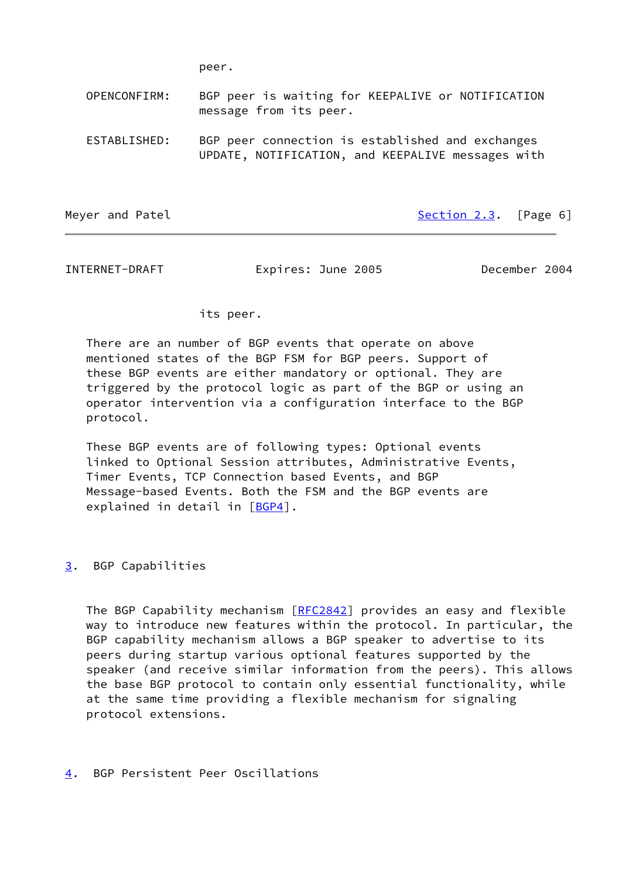peer.

 OPENCONFIRM: BGP peer is waiting for KEEPALIVE or NOTIFICATION message from its peer.

 ESTABLISHED: BGP peer connection is established and exchanges UPDATE, NOTIFICATION, and KEEPALIVE messages with

Meyer and Patel [Section 2.3](#page-5-0). [Page 6]

<span id="page-6-1"></span>INTERNET-DRAFT Expires: June 2005 December 2004

## its peer.

 There are an number of BGP events that operate on above mentioned states of the BGP FSM for BGP peers. Support of these BGP events are either mandatory or optional. They are triggered by the protocol logic as part of the BGP or using an operator intervention via a configuration interface to the BGP protocol.

 These BGP events are of following types: Optional events linked to Optional Session attributes, Administrative Events, Timer Events, TCP Connection based Events, and BGP Message-based Events. Both the FSM and the BGP events are explained in detail in [\[BGP4](#page-18-3)].

<span id="page-6-0"></span>[3](#page-6-0). BGP Capabilities

The BGP Capability mechanism [\[RFC2842](https://datatracker.ietf.org/doc/pdf/rfc2842)] provides an easy and flexible way to introduce new features within the protocol. In particular, the BGP capability mechanism allows a BGP speaker to advertise to its peers during startup various optional features supported by the speaker (and receive similar information from the peers). This allows the base BGP protocol to contain only essential functionality, while at the same time providing a flexible mechanism for signaling protocol extensions.

<span id="page-6-2"></span>[4](#page-6-2). BGP Persistent Peer Oscillations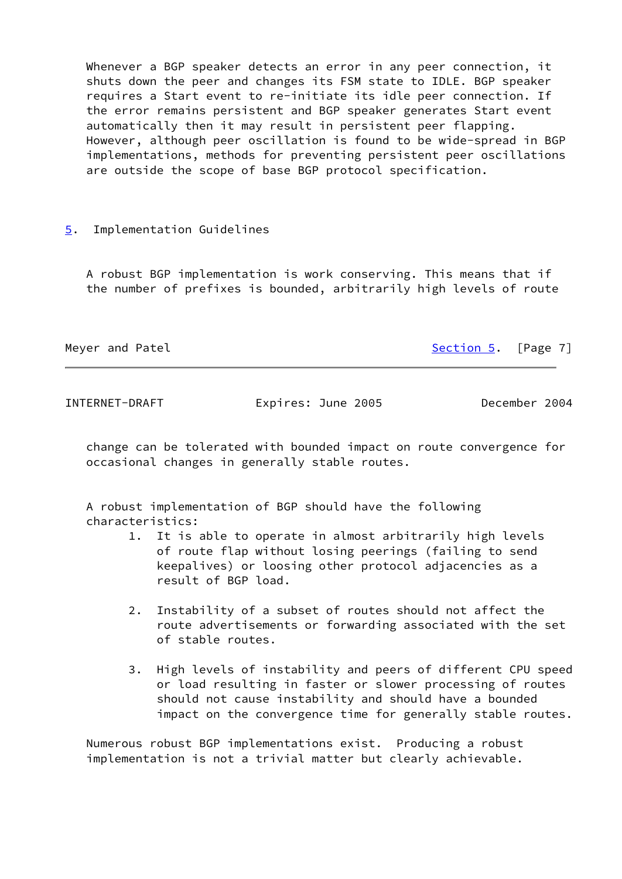Whenever a BGP speaker detects an error in any peer connection, it shuts down the peer and changes its FSM state to IDLE. BGP speaker requires a Start event to re-initiate its idle peer connection. If the error remains persistent and BGP speaker generates Start event automatically then it may result in persistent peer flapping. However, although peer oscillation is found to be wide-spread in BGP implementations, methods for preventing persistent peer oscillations are outside the scope of base BGP protocol specification.

## <span id="page-7-0"></span>[5](#page-7-0). Implementation Guidelines

 A robust BGP implementation is work conserving. This means that if the number of prefixes is bounded, arbitrarily high levels of route

Meyer and Patel **[Section 5](#page-7-0).** [Page 7]

<span id="page-7-1"></span>INTERNET-DRAFT Expires: June 2005 December 2004

 change can be tolerated with bounded impact on route convergence for occasional changes in generally stable routes.

 A robust implementation of BGP should have the following characteristics:

- 1. It is able to operate in almost arbitrarily high levels of route flap without losing peerings (failing to send keepalives) or loosing other protocol adjacencies as a result of BGP load.
- 2. Instability of a subset of routes should not affect the route advertisements or forwarding associated with the set of stable routes.
- 3. High levels of instability and peers of different CPU speed or load resulting in faster or slower processing of routes should not cause instability and should have a bounded impact on the convergence time for generally stable routes.

 Numerous robust BGP implementations exist. Producing a robust implementation is not a trivial matter but clearly achievable.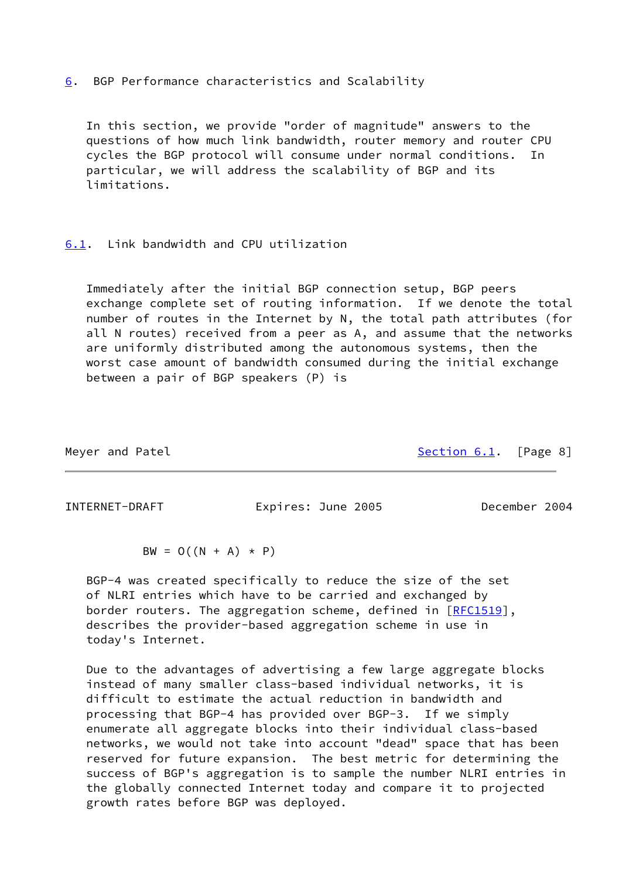<span id="page-8-0"></span>[6](#page-8-0). BGP Performance characteristics and Scalability

 In this section, we provide "order of magnitude" answers to the questions of how much link bandwidth, router memory and router CPU cycles the BGP protocol will consume under normal conditions. particular, we will address the scalability of BGP and its limitations.

## <span id="page-8-1"></span>[6.1](#page-8-1). Link bandwidth and CPU utilization

 Immediately after the initial BGP connection setup, BGP peers exchange complete set of routing information. If we denote the total number of routes in the Internet by N, the total path attributes (for all N routes) received from a peer as A, and assume that the networks are uniformly distributed among the autonomous systems, then the worst case amount of bandwidth consumed during the initial exchange between a pair of BGP speakers (P) is

Meyer and Patel [Section 6.1](#page-8-1). [Page 8]

<span id="page-8-2"></span>INTERNET-DRAFT Expires: June 2005 December 2004

 $BW = O((N + A) * P)$ 

 BGP-4 was created specifically to reduce the size of the set of NLRI entries which have to be carried and exchanged by border routers. The aggregation scheme, defined in [[RFC1519\]](https://datatracker.ietf.org/doc/pdf/rfc1519), describes the provider-based aggregation scheme in use in today's Internet.

 Due to the advantages of advertising a few large aggregate blocks instead of many smaller class-based individual networks, it is difficult to estimate the actual reduction in bandwidth and processing that BGP-4 has provided over BGP-3. If we simply enumerate all aggregate blocks into their individual class-based networks, we would not take into account "dead" space that has been reserved for future expansion. The best metric for determining the success of BGP's aggregation is to sample the number NLRI entries in the globally connected Internet today and compare it to projected growth rates before BGP was deployed.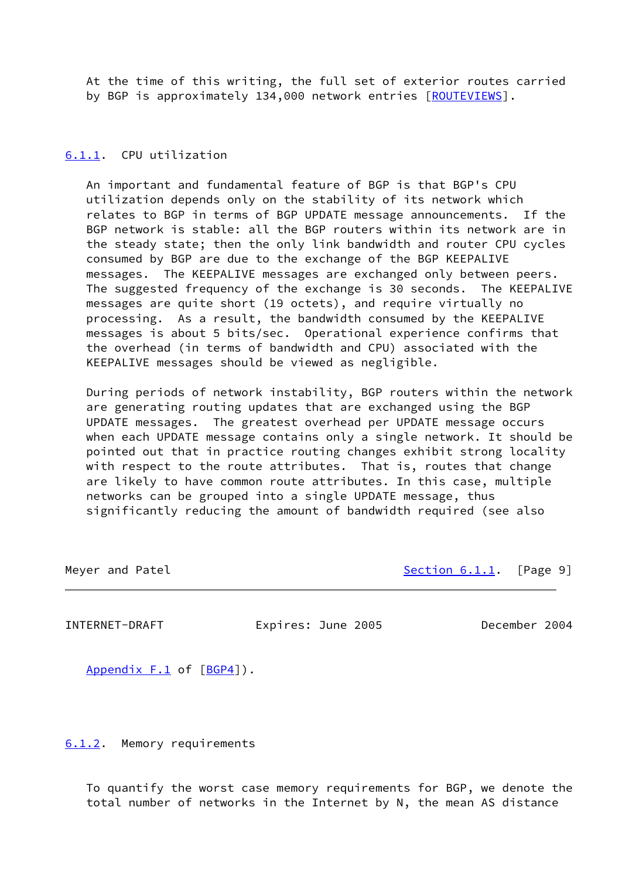At the time of this writing, the full set of exterior routes carried by BGP is approximately 134,000 network entries [\[ROUTEVIEWS\]](#page-20-2).

### <span id="page-9-0"></span>[6.1.1](#page-9-0). CPU utilization

 An important and fundamental feature of BGP is that BGP's CPU utilization depends only on the stability of its network which relates to BGP in terms of BGP UPDATE message announcements. If the BGP network is stable: all the BGP routers within its network are in the steady state; then the only link bandwidth and router CPU cycles consumed by BGP are due to the exchange of the BGP KEEPALIVE messages. The KEEPALIVE messages are exchanged only between peers. The suggested frequency of the exchange is 30 seconds. The KEEPALIVE messages are quite short (19 octets), and require virtually no processing. As a result, the bandwidth consumed by the KEEPALIVE messages is about 5 bits/sec. Operational experience confirms that the overhead (in terms of bandwidth and CPU) associated with the KEEPALIVE messages should be viewed as negligible.

 During periods of network instability, BGP routers within the network are generating routing updates that are exchanged using the BGP UPDATE messages. The greatest overhead per UPDATE message occurs when each UPDATE message contains only a single network. It should be pointed out that in practice routing changes exhibit strong locality with respect to the route attributes. That is, routes that change are likely to have common route attributes. In this case, multiple networks can be grouped into a single UPDATE message, thus significantly reducing the amount of bandwidth required (see also

Meyer and Patel [Section 6.1.1](#page-9-0). [Page 9]

<span id="page-9-2"></span>INTERNET-DRAFT Expires: June 2005 December 2004

Appendix F.1 of [\[BGP4](#page-18-3)]).

<span id="page-9-1"></span>[6.1.2](#page-9-1). Memory requirements

 To quantify the worst case memory requirements for BGP, we denote the total number of networks in the Internet by N, the mean AS distance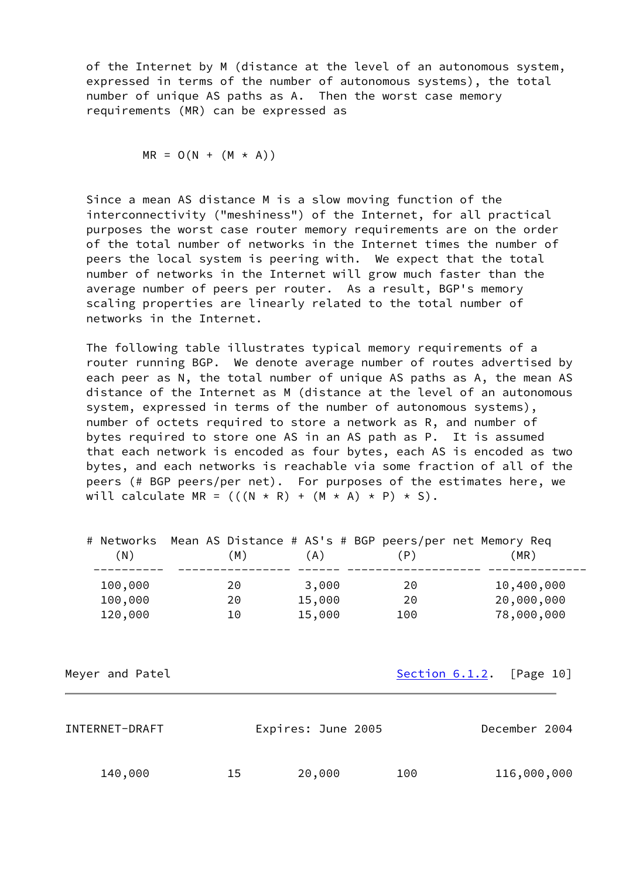of the Internet by M (distance at the level of an autonomous system, expressed in terms of the number of autonomous systems), the total number of unique AS paths as A. Then the worst case memory requirements (MR) can be expressed as

$$
MR = O(N + (M \times A))
$$

 Since a mean AS distance M is a slow moving function of the interconnectivity ("meshiness") of the Internet, for all practical purposes the worst case router memory requirements are on the order of the total number of networks in the Internet times the number of peers the local system is peering with. We expect that the total number of networks in the Internet will grow much faster than the average number of peers per router. As a result, BGP's memory scaling properties are linearly related to the total number of networks in the Internet.

 The following table illustrates typical memory requirements of a router running BGP. We denote average number of routes advertised by each peer as N, the total number of unique AS paths as A, the mean AS distance of the Internet as M (distance at the level of an autonomous system, expressed in terms of the number of autonomous systems), number of octets required to store a network as R, and number of bytes required to store one AS in an AS path as P. It is assumed that each network is encoded as four bytes, each AS is encoded as two bytes, and each networks is reachable via some fraction of all of the peers (# BGP peers/per net). For purposes of the estimates here, we will calculate MR =  $(((N * R) + (M * A) * P) * S)$ .

| (N)     | # Networks  Mean AS Distance # AS's # BGP peers/per net Memory Req<br>M) | (A)    | (P) | (MR)       |
|---------|--------------------------------------------------------------------------|--------|-----|------------|
| 100,000 | 20                                                                       | 3,000  | 20  | 10,400,000 |
| 100,000 | 20                                                                       | 15,000 | 20  | 20,000,000 |
| 120,000 | 10                                                                       | 15,000 | 100 | 78,000,000 |

Meyer and Patel **[Section 6.1.2.](#page-9-1)** [Page 10]

<span id="page-10-0"></span>

| INTERNET-DRAFT |    | Expires: June 2005 |     | December 2004 |
|----------------|----|--------------------|-----|---------------|
| 140,000        | 15 | 20,000             | 100 | 116,000,000   |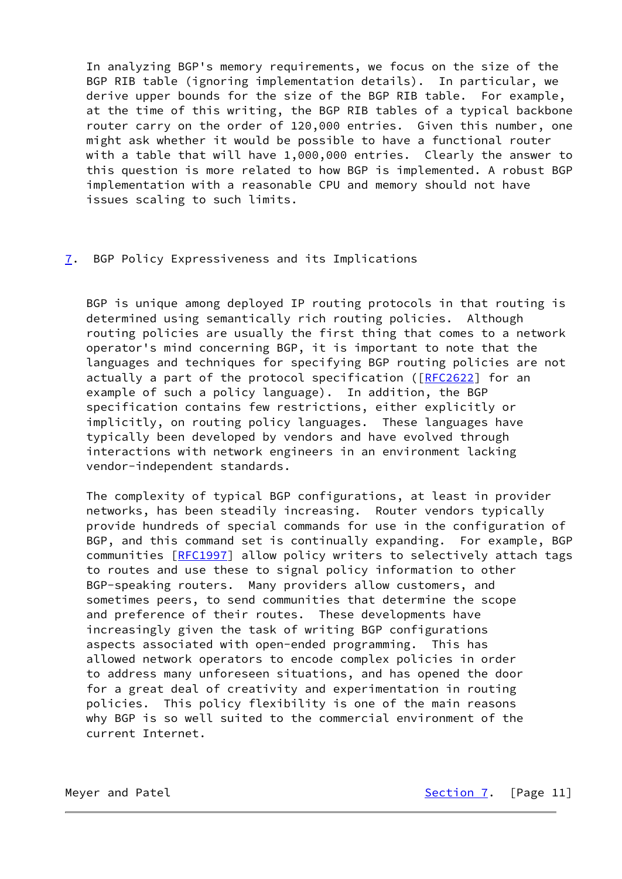In analyzing BGP's memory requirements, we focus on the size of the BGP RIB table (ignoring implementation details). In particular, we derive upper bounds for the size of the BGP RIB table. For example, at the time of this writing, the BGP RIB tables of a typical backbone router carry on the order of 120,000 entries. Given this number, one might ask whether it would be possible to have a functional router with a table that will have 1,000,000 entries. Clearly the answer to this question is more related to how BGP is implemented. A robust BGP implementation with a reasonable CPU and memory should not have issues scaling to such limits.

## <span id="page-11-0"></span>[7](#page-11-0). BGP Policy Expressiveness and its Implications

 BGP is unique among deployed IP routing protocols in that routing is determined using semantically rich routing policies. Although routing policies are usually the first thing that comes to a network operator's mind concerning BGP, it is important to note that the languages and techniques for specifying BGP routing policies are not actually a part of the protocol specification ([\[RFC2622](https://datatracker.ietf.org/doc/pdf/rfc2622)] for an example of such a policy language). In addition, the BGP specification contains few restrictions, either explicitly or implicitly, on routing policy languages. These languages have typically been developed by vendors and have evolved through interactions with network engineers in an environment lacking vendor-independent standards.

 The complexity of typical BGP configurations, at least in provider networks, has been steadily increasing. Router vendors typically provide hundreds of special commands for use in the configuration of BGP, and this command set is continually expanding. For example, BGP communities [\[RFC1997](https://datatracker.ietf.org/doc/pdf/rfc1997)] allow policy writers to selectively attach tags to routes and use these to signal policy information to other BGP-speaking routers. Many providers allow customers, and sometimes peers, to send communities that determine the scope and preference of their routes. These developments have increasingly given the task of writing BGP configurations aspects associated with open-ended programming. This has allowed network operators to encode complex policies in order to address many unforeseen situations, and has opened the door for a great deal of creativity and experimentation in routing policies. This policy flexibility is one of the main reasons why BGP is so well suited to the commercial environment of the current Internet.

Meyer and Patel [Section 7](#page-11-0). [Page 11]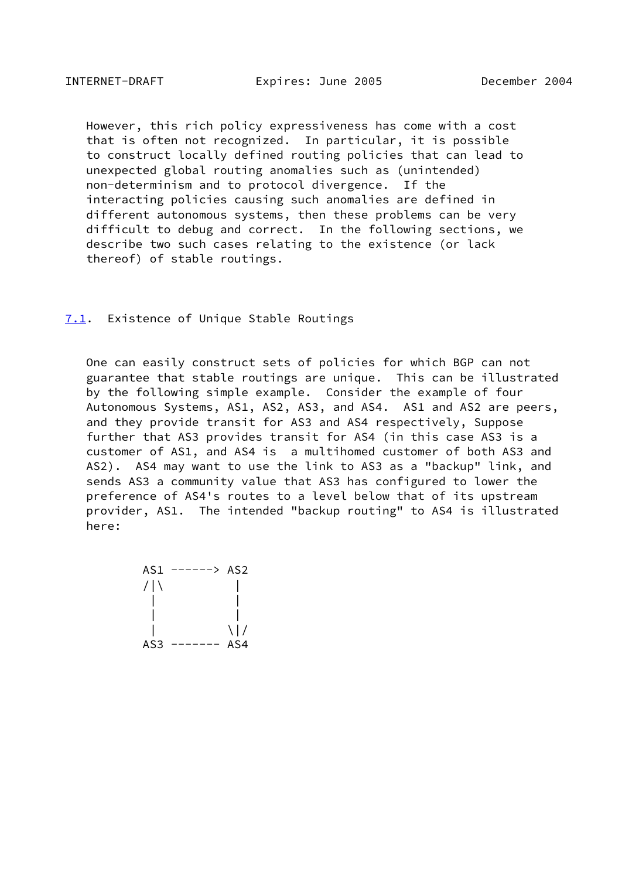<span id="page-12-1"></span> However, this rich policy expressiveness has come with a cost that is often not recognized. In particular, it is possible to construct locally defined routing policies that can lead to unexpected global routing anomalies such as (unintended) non-determinism and to protocol divergence. If the interacting policies causing such anomalies are defined in different autonomous systems, then these problems can be very difficult to debug and correct. In the following sections, we describe two such cases relating to the existence (or lack thereof) of stable routings.

### <span id="page-12-0"></span>[7.1](#page-12-0). Existence of Unique Stable Routings

 One can easily construct sets of policies for which BGP can not guarantee that stable routings are unique. This can be illustrated by the following simple example. Consider the example of four Autonomous Systems, AS1, AS2, AS3, and AS4. AS1 and AS2 are peers, and they provide transit for AS3 and AS4 respectively, Suppose further that AS3 provides transit for AS4 (in this case AS3 is a customer of AS1, and AS4 is a multihomed customer of both AS3 and AS2). AS4 may want to use the link to AS3 as a "backup" link, and sends AS3 a community value that AS3 has configured to lower the preference of AS4's routes to a level below that of its upstream provider, AS1. The intended "backup routing" to AS4 is illustrated here:

 AS1 ------> AS2  $/|\Upsilon|$  | |  $\|$  $\| \setminus |$ AS3 ------- AS4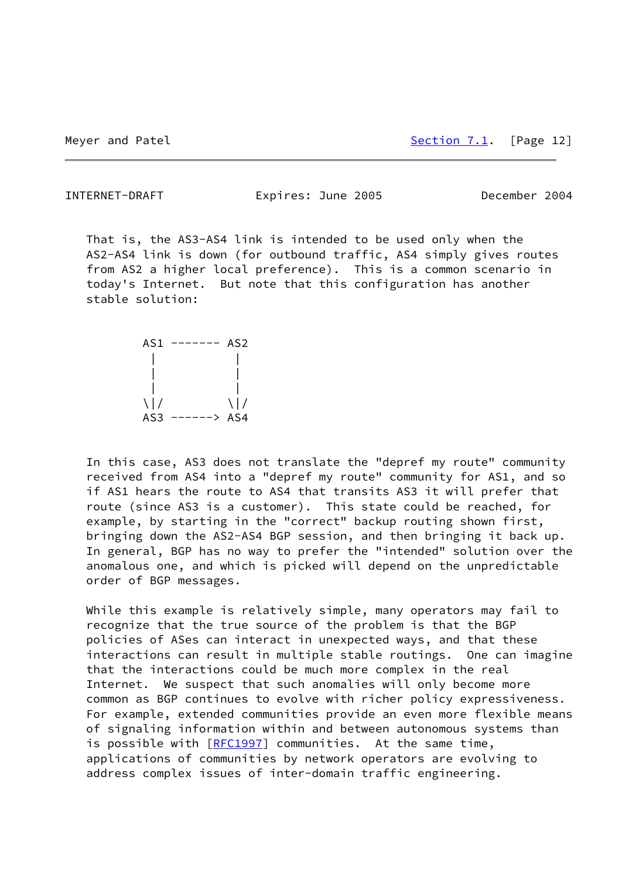<span id="page-13-0"></span>INTERNET-DRAFT Expires: June 2005 December 2004

 That is, the AS3-AS4 link is intended to be used only when the AS2-AS4 link is down (for outbound traffic, AS4 simply gives routes from AS2 a higher local preference). This is a common scenario in today's Internet. But note that this configuration has another stable solution:



 In this case, AS3 does not translate the "depref my route" community received from AS4 into a "depref my route" community for AS1, and so if AS1 hears the route to AS4 that transits AS3 it will prefer that route (since AS3 is a customer). This state could be reached, for example, by starting in the "correct" backup routing shown first, bringing down the AS2-AS4 BGP session, and then bringing it back up. In general, BGP has no way to prefer the "intended" solution over the anomalous one, and which is picked will depend on the unpredictable order of BGP messages.

 While this example is relatively simple, many operators may fail to recognize that the true source of the problem is that the BGP policies of ASes can interact in unexpected ways, and that these interactions can result in multiple stable routings. One can imagine that the interactions could be much more complex in the real Internet. We suspect that such anomalies will only become more common as BGP continues to evolve with richer policy expressiveness. For example, extended communities provide an even more flexible means of signaling information within and between autonomous systems than is possible with [\[RFC1997](https://datatracker.ietf.org/doc/pdf/rfc1997)] communities. At the same time, applications of communities by network operators are evolving to address complex issues of inter-domain traffic engineering.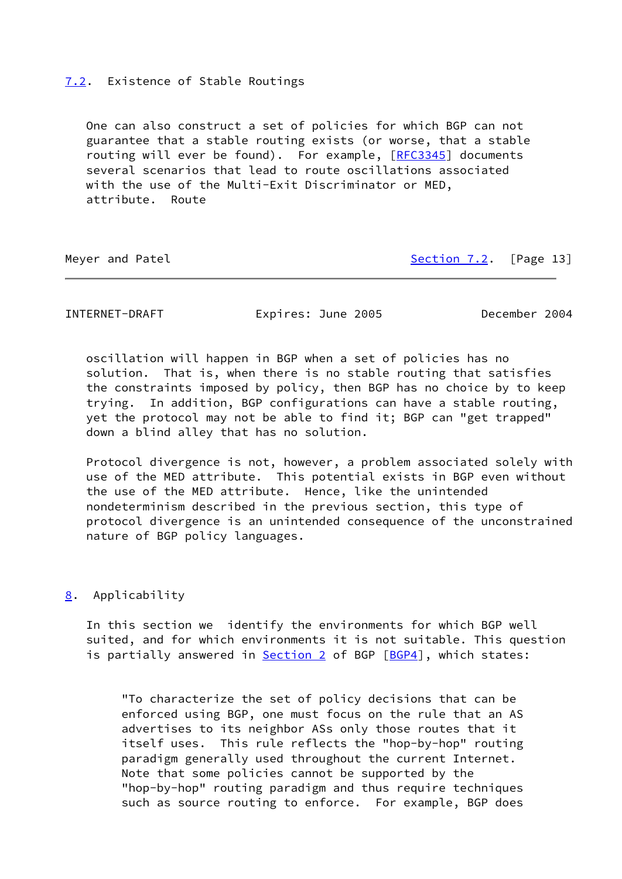## <span id="page-14-0"></span>[7.2](#page-14-0). Existence of Stable Routings

 One can also construct a set of policies for which BGP can not guarantee that a stable routing exists (or worse, that a stable routing will ever be found). For example, [[RFC3345\]](https://datatracker.ietf.org/doc/pdf/rfc3345) documents several scenarios that lead to route oscillations associated with the use of the Multi-Exit Discriminator or MED, attribute. Route

Meyer and Patel **[Section 7.2](#page-14-0).** [Page 13]

<span id="page-14-2"></span>INTERNET-DRAFT Expires: June 2005 December 2004

 oscillation will happen in BGP when a set of policies has no solution. That is, when there is no stable routing that satisfies the constraints imposed by policy, then BGP has no choice by to keep trying. In addition, BGP configurations can have a stable routing, yet the protocol may not be able to find it; BGP can "get trapped" down a blind alley that has no solution.

 Protocol divergence is not, however, a problem associated solely with use of the MED attribute. This potential exists in BGP even without the use of the MED attribute. Hence, like the unintended nondeterminism described in the previous section, this type of protocol divergence is an unintended consequence of the unconstrained nature of BGP policy languages.

## <span id="page-14-1"></span>[8](#page-14-1). Applicability

 In this section we identify the environments for which BGP well suited, and for which environments it is not suitable. This question is partially answered in [Section 2](#page-3-0) of BGP [[BGP4\]](#page-18-3), which states:

 "To characterize the set of policy decisions that can be enforced using BGP, one must focus on the rule that an AS advertises to its neighbor ASs only those routes that it itself uses. This rule reflects the "hop-by-hop" routing paradigm generally used throughout the current Internet. Note that some policies cannot be supported by the "hop-by-hop" routing paradigm and thus require techniques such as source routing to enforce. For example, BGP does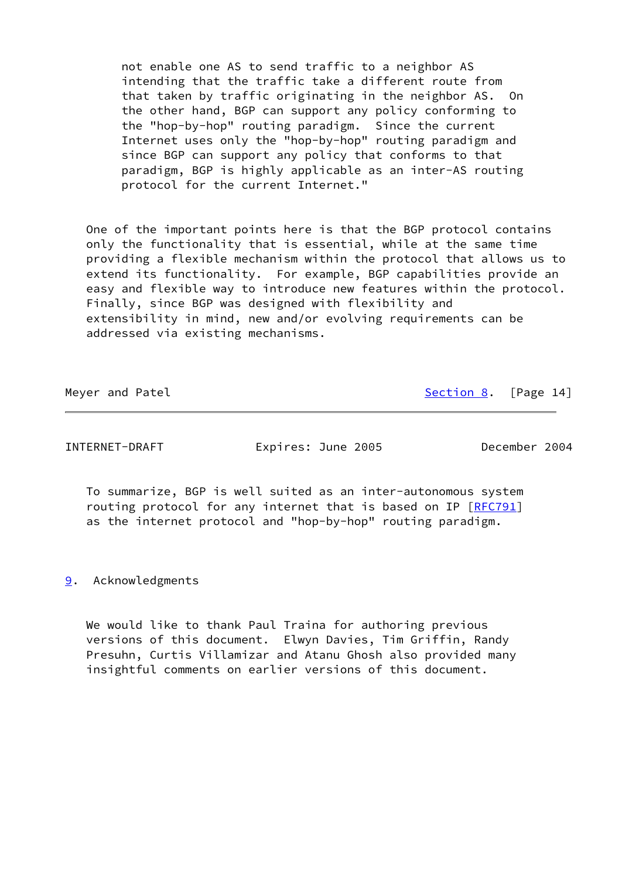not enable one AS to send traffic to a neighbor AS intending that the traffic take a different route from that taken by traffic originating in the neighbor AS. On the other hand, BGP can support any policy conforming to the "hop-by-hop" routing paradigm. Since the current Internet uses only the "hop-by-hop" routing paradigm and since BGP can support any policy that conforms to that paradigm, BGP is highly applicable as an inter-AS routing protocol for the current Internet."

 One of the important points here is that the BGP protocol contains only the functionality that is essential, while at the same time providing a flexible mechanism within the protocol that allows us to extend its functionality. For example, BGP capabilities provide an easy and flexible way to introduce new features within the protocol. Finally, since BGP was designed with flexibility and extensibility in mind, new and/or evolving requirements can be addressed via existing mechanisms.

Meyer and Patel [Section 8](#page-14-1). [Page 14]

<span id="page-15-1"></span>INTERNET-DRAFT Expires: June 2005 December 2004

 To summarize, BGP is well suited as an inter-autonomous system routing protocol for any internet that is based on IP [[RFC791](https://datatracker.ietf.org/doc/pdf/rfc791)] as the internet protocol and "hop-by-hop" routing paradigm.

<span id="page-15-0"></span>[9](#page-15-0). Acknowledgments

 We would like to thank Paul Traina for authoring previous versions of this document. Elwyn Davies, Tim Griffin, Randy Presuhn, Curtis Villamizar and Atanu Ghosh also provided many insightful comments on earlier versions of this document.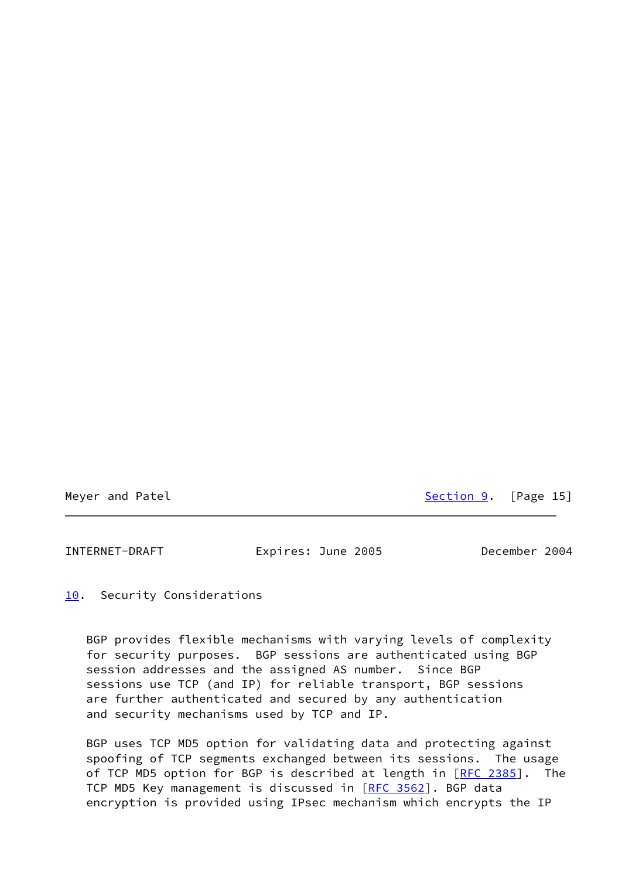Meyer and Patel [Section 9](#page-15-0). [Page 15]

<span id="page-16-1"></span>INTERNET-DRAFT Expires: June 2005 December 2004

<span id="page-16-0"></span>[10.](#page-16-0) Security Considerations

 BGP provides flexible mechanisms with varying levels of complexity for security purposes. BGP sessions are authenticated using BGP session addresses and the assigned AS number. Since BGP sessions use TCP (and IP) for reliable transport, BGP sessions are further authenticated and secured by any authentication and security mechanisms used by TCP and IP.

 BGP uses TCP MD5 option for validating data and protecting against spoofing of TCP segments exchanged between its sessions. The usage of TCP MD5 option for BGP is described at length in [\[RFC 2385](https://datatracker.ietf.org/doc/pdf/rfc2385)]. The TCP MD5 Key management is discussed in [\[RFC 3562](https://datatracker.ietf.org/doc/pdf/rfc3562)]. BGP data encryption is provided using IPsec mechanism which encrypts the IP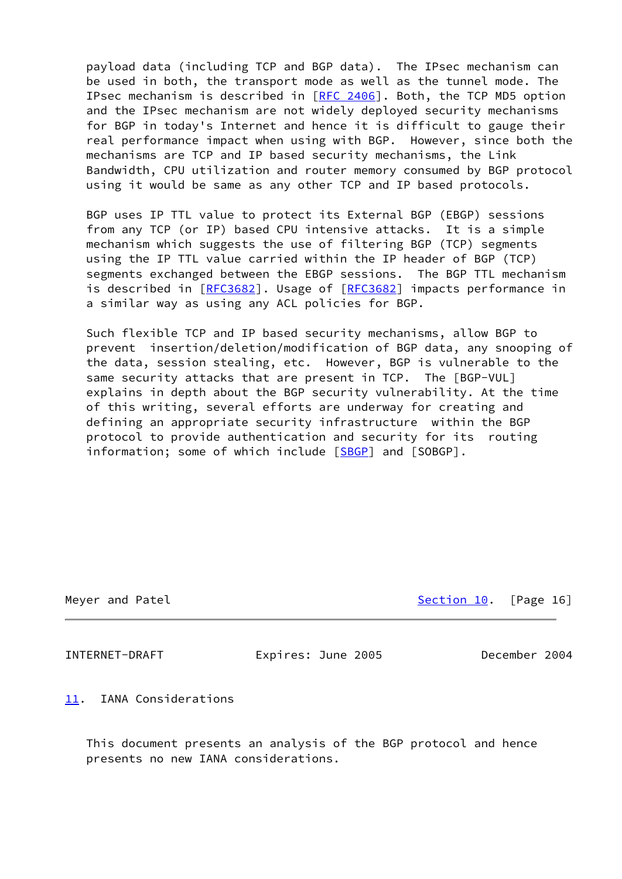payload data (including TCP and BGP data). The IPsec mechanism can be used in both, the transport mode as well as the tunnel mode. The IPsec mechanism is described in [\[RFC 2406](https://datatracker.ietf.org/doc/pdf/rfc2406)]. Both, the TCP MD5 option and the IPsec mechanism are not widely deployed security mechanisms for BGP in today's Internet and hence it is difficult to gauge their real performance impact when using with BGP. However, since both the mechanisms are TCP and IP based security mechanisms, the Link Bandwidth, CPU utilization and router memory consumed by BGP protocol using it would be same as any other TCP and IP based protocols.

 BGP uses IP TTL value to protect its External BGP (EBGP) sessions from any TCP (or IP) based CPU intensive attacks. It is a simple mechanism which suggests the use of filtering BGP (TCP) segments using the IP TTL value carried within the IP header of BGP (TCP) segments exchanged between the EBGP sessions. The BGP TTL mechanism is described in [\[RFC3682](https://datatracker.ietf.org/doc/pdf/rfc3682)]. Usage of [\[RFC3682](https://datatracker.ietf.org/doc/pdf/rfc3682)] impacts performance in a similar way as using any ACL policies for BGP.

 Such flexible TCP and IP based security mechanisms, allow BGP to prevent insertion/deletion/modification of BGP data, any snooping of the data, session stealing, etc. However, BGP is vulnerable to the same security attacks that are present in TCP. The [BGP-VUL] explains in depth about the BGP security vulnerability. At the time of this writing, several efforts are underway for creating and defining an appropriate security infrastructure within the BGP protocol to provide authentication and security for its routing information; some of which include [[SBGP\]](#page-19-1) and [SOBGP].

Meyer and Patel [Section 10.](#page-16-0) [Page 16] Section 10. [Page 16]

<span id="page-17-1"></span>

INTERNET-DRAFT Expires: June 2005 December 2004

<span id="page-17-0"></span>[11.](#page-17-0) IANA Considerations

 This document presents an analysis of the BGP protocol and hence presents no new IANA considerations.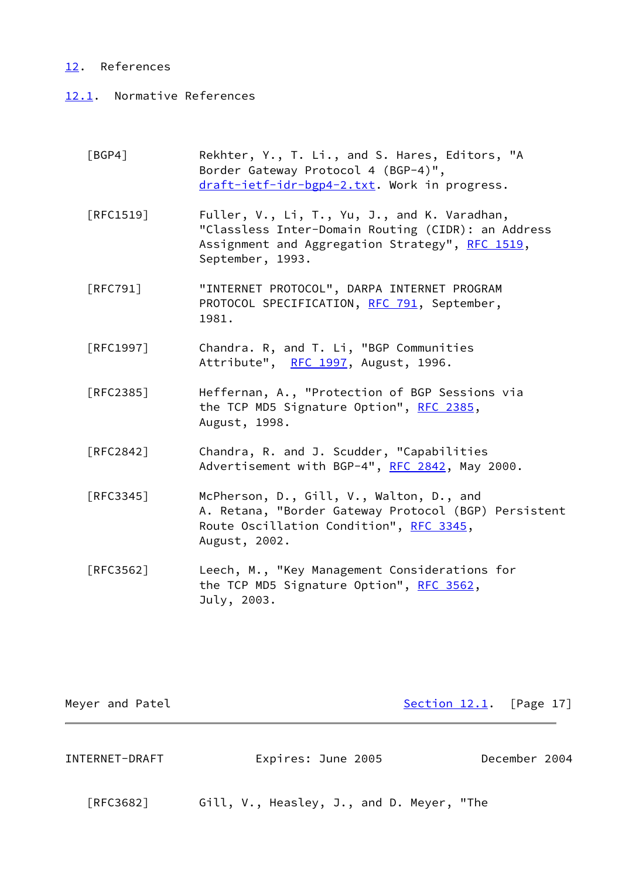## <span id="page-18-0"></span>[12.](#page-18-0) References

# <span id="page-18-1"></span>[12.1](#page-18-1). Normative References

<span id="page-18-3"></span>

| [BGP4]                           | Rekhter, Y., T. Li., and S. Hares, Editors, "A<br>Border Gateway Protocol 4 (BGP-4)",<br>draft-ietf-idr-bgp4-2.txt. Work in progress.                                     |
|----------------------------------|---------------------------------------------------------------------------------------------------------------------------------------------------------------------------|
| $\lceil \mathsf{RFC1519} \rceil$ | Fuller, V., Li, T., Yu, J., and K. Varadhan,<br>"Classless Inter-Domain Routing (CIDR): an Address<br>Assignment and Aggregation Strategy", RFC 1519,<br>September, 1993. |
| <b>FRFC7911</b>                  | "INTERNET PROTOCOL", DARPA INTERNET PROGRAM<br>PROTOCOL SPECIFICATION, RFC 791, September,<br>1981.                                                                       |
| [RFC1997]                        | Chandra. R, and T. Li, "BGP Communities<br>Attribute", RFC 1997, August, 1996.                                                                                            |
| [RFC2385]                        | Heffernan, A., "Protection of BGP Sessions via<br>the TCP MD5 Signature Option", RFC 2385,<br>August, 1998.                                                               |
| [RFC2842]                        | Chandra, R. and J. Scudder, "Capabilities<br>Advertisement with BGP-4", RFC 2842, May 2000.                                                                               |
| [RFC3345]                        | McPherson, D., Gill, V., Walton, D., and<br>A. Retana, "Border Gateway Protocol (BGP) Persistent<br>Route Oscillation Condition", RFC 3345,<br>August, 2002.              |
| [RFC3562]                        | Leech, M., "Key Management Considerations for<br>the TCP MD5 Signature Option", RFC 3562,<br>July, 2003.                                                                  |

Meyer and Patel **[Section 12.1](#page-18-1).** [Page 17]

<span id="page-18-2"></span>INTERNET-DRAFT Expires: June 2005 December 2004

[RFC3682] Gill, V., Heasley, J., and D. Meyer, "The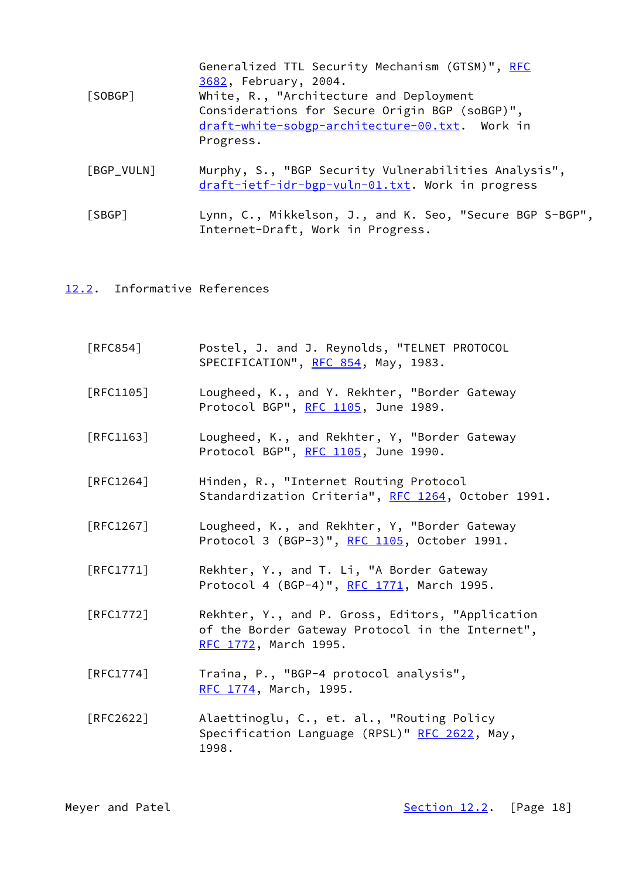| [SOBGP]    | Generalized TTL Security Mechanism (GTSM)", RFC<br>3682, February, 2004.<br>White, R., "Architecture and Deployment<br>Considerations for Secure Origin BGP (soBGP)",<br>draft-white-sobgp-architecture-00.txt. Work in<br>Progress. |
|------------|--------------------------------------------------------------------------------------------------------------------------------------------------------------------------------------------------------------------------------------|
| [BGP_VULN] | Murphy, S., "BGP Security Vulnerabilities Analysis",<br>draft-ietf-idr-bgp-vuln-01.txt. Work in progress                                                                                                                             |

<span id="page-19-1"></span> [SBGP] Lynn, C., Mikkelson, J., and K. Seo, "Secure BGP S-BGP", Internet-Draft, Work in Progress.

# <span id="page-19-0"></span>[12.2](#page-19-0). Informative References

| [RFC854]                         | Postel, J. and J. Reynolds, "TELNET PROTOCOL<br>SPECIFICATION", RFC 854, May, 1983.                                           |
|----------------------------------|-------------------------------------------------------------------------------------------------------------------------------|
| $\lceil \mathsf{RFC1105} \rceil$ | Lougheed, K., and Y. Rekhter, "Border Gateway<br>Protocol BGP", RFC 1105, June 1989.                                          |
| $\lceil \mathsf{RFC1163} \rceil$ | Lougheed, K., and Rekhter, Y, "Border Gateway<br>Protocol BGP", RFC 1105, June 1990.                                          |
| $\lceil$ RFC1264]                | Hinden, R., "Internet Routing Protocol<br>Standardization Criteria", RFC 1264, October 1991.                                  |
| $\lceil$ RFC1267]                | Lougheed, K., and Rekhter, Y, "Border Gateway<br>Protocol 3 (BGP-3)", RFC 1105, October 1991.                                 |
| [RFC1771]                        | Rekhter, Y., and T. Li, "A Border Gateway<br>Protocol 4 (BGP-4)", RFC 1771, March 1995.                                       |
| [RFC1772]                        | Rekhter, Y., and P. Gross, Editors, "Application<br>of the Border Gateway Protocol in the Internet",<br>RFC 1772, March 1995. |
| $\lceil \mathsf{RFC1774} \rceil$ | Traina, P., "BGP-4 protocol analysis",<br>RFC 1774, March, 1995.                                                              |
| [RFC2622]                        | Alaettinoglu, C., et. al., "Routing Policy<br>Specification Language (RPSL)" RFC 2622, May,<br>1998.                          |

Meyer and Patel **[Section 12.2](#page-19-0).** [Page 18]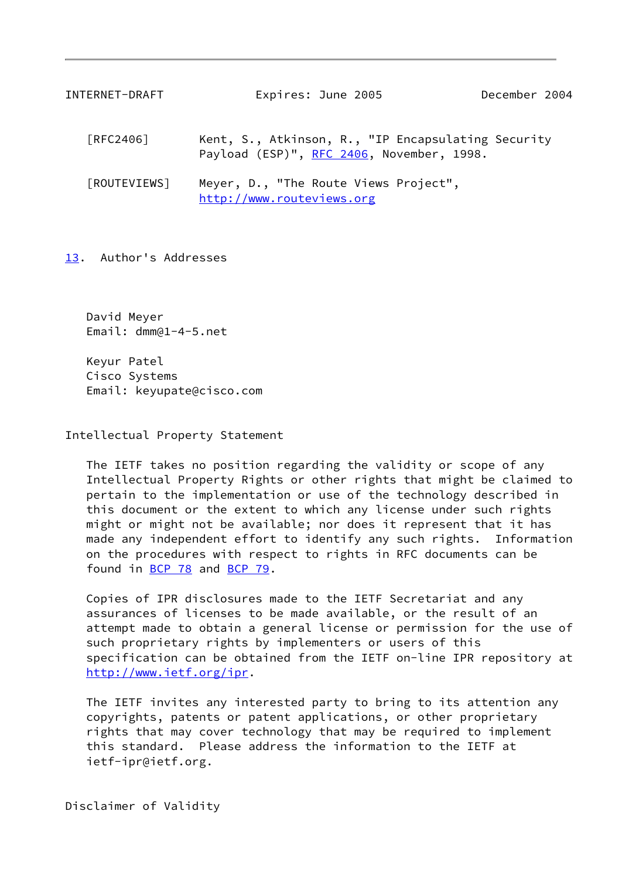<span id="page-20-1"></span>

| INTERNET-DRAFT | Expires: June 2005                                                                              | December 2004 |  |
|----------------|-------------------------------------------------------------------------------------------------|---------------|--|
| [RFC2406]      | Kent, S., Atkinson, R., "IP Encapsulating Security<br>Payload (ESP)", RFC 2406, November, 1998. |               |  |
| [ROUTEVIEWS]   | Meyer, D., "The Route Views Project",<br>http://www.routeviews.org                              |               |  |

<span id="page-20-2"></span><span id="page-20-0"></span>[13.](#page-20-0) Author's Addresses

 David Meyer Email: dmm@1-4-5.net

 Keyur Patel Cisco Systems Email: keyupate@cisco.com

Intellectual Property Statement

 The IETF takes no position regarding the validity or scope of any Intellectual Property Rights or other rights that might be claimed to pertain to the implementation or use of the technology described in this document or the extent to which any license under such rights might or might not be available; nor does it represent that it has made any independent effort to identify any such rights. Information on the procedures with respect to rights in RFC documents can be found in [BCP 78](https://datatracker.ietf.org/doc/pdf/bcp78) and [BCP 79](https://datatracker.ietf.org/doc/pdf/bcp79).

 Copies of IPR disclosures made to the IETF Secretariat and any assurances of licenses to be made available, or the result of an attempt made to obtain a general license or permission for the use of such proprietary rights by implementers or users of this specification can be obtained from the IETF on-line IPR repository at <http://www.ietf.org/ipr>.

 The IETF invites any interested party to bring to its attention any copyrights, patents or patent applications, or other proprietary rights that may cover technology that may be required to implement this standard. Please address the information to the IETF at ietf-ipr@ietf.org.

Disclaimer of Validity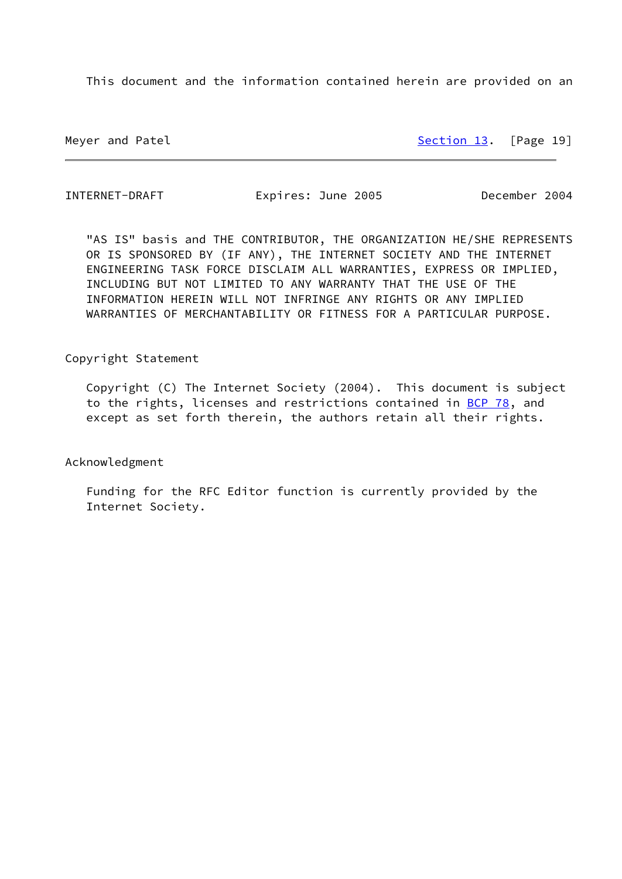This document and the information contained herein are provided on an

Meyer and Patel [Section 13.](#page-20-0) [Page 19]

INTERNET-DRAFT Expires: June 2005 December 2004

 "AS IS" basis and THE CONTRIBUTOR, THE ORGANIZATION HE/SHE REPRESENTS OR IS SPONSORED BY (IF ANY), THE INTERNET SOCIETY AND THE INTERNET ENGINEERING TASK FORCE DISCLAIM ALL WARRANTIES, EXPRESS OR IMPLIED, INCLUDING BUT NOT LIMITED TO ANY WARRANTY THAT THE USE OF THE INFORMATION HEREIN WILL NOT INFRINGE ANY RIGHTS OR ANY IMPLIED WARRANTIES OF MERCHANTABILITY OR FITNESS FOR A PARTICULAR PURPOSE.

Copyright Statement

 Copyright (C) The Internet Society (2004). This document is subject to the rights, licenses and restrictions contained in [BCP 78](https://datatracker.ietf.org/doc/pdf/bcp78), and except as set forth therein, the authors retain all their rights.

Acknowledgment

 Funding for the RFC Editor function is currently provided by the Internet Society.